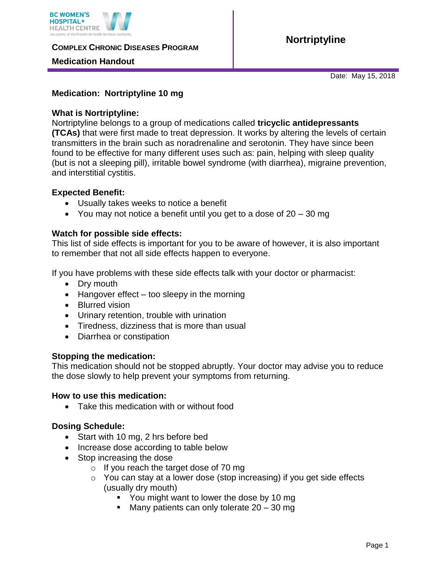

**COMPLEX CHRONIC DISEASES PROGRAM** 

## **Medication Handout**

Date: May 15, 2018

## **Medication: Nortriptyline 10 mg**

#### **What is Nortriptyline:**

Nortriptyline belongs to a group of medications called **tricyclic antidepressants (TCAs)** that were first made to treat depression. It works by altering the levels of certain transmitters in the brain such as noradrenaline and serotonin. They have since been found to be effective for many different uses such as: pain, helping with sleep quality (but is not a sleeping pill), irritable bowel syndrome (with diarrhea), migraine prevention, and interstitial cystitis.

### **Expected Benefit:**

- Usually takes weeks to notice a benefit
- You may not notice a benefit until you get to a dose of  $20 30$  mg

### **Watch for possible side effects:**

This list of side effects is important for you to be aware of however, it is also important to remember that not all side effects happen to everyone.

If you have problems with these side effects talk with your doctor or pharmacist:

- Dry mouth
- $\bullet$  Hangover effect too sleepy in the morning
- Blurred vision
- Urinary retention, trouble with urination
- Tiredness, dizziness that is more than usual
- Diarrhea or constipation

#### **Stopping the medication:**

This medication should not be stopped abruptly. Your doctor may advise you to reduce the dose slowly to help prevent your symptoms from returning.

#### **How to use this medication:**

• Take this medication with or without food

# **Dosing Schedule:**

- Start with 10 mg, 2 hrs before bed
- Increase dose according to table below
- Stop increasing the dose
	- o If you reach the target dose of 70 mg
	- o You can stay at a lower dose (stop increasing) if you get side effects (usually dry mouth)
		- You might want to lower the dose by 10 mg
		- Many patients can only tolerate  $20 30$  mg